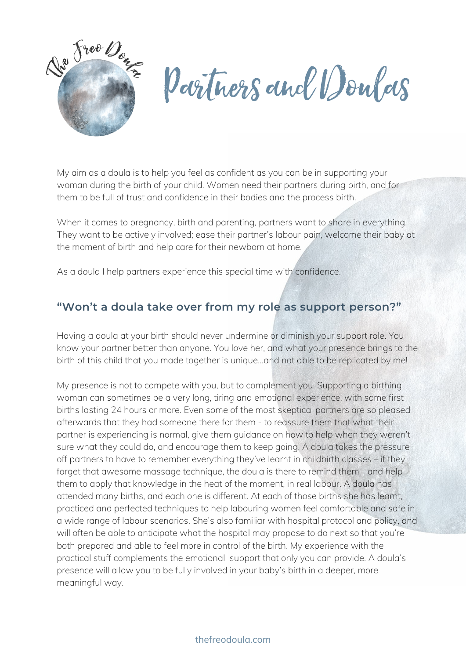

Partners and Doulas

My aim as a doula is to help you feel as confident as you can be in supporting your woman during the birth of your child. Women need their partners during birth, and for them to be full of trust and confidence in their bodies and the process birth.

When it comes to pregnancy, birth and parenting, partners want to share in everything! They want to be actively involved; ease their partner's labour pain, welcome their baby at the moment of birth and help care for their newborn at home.

As a doula I help partners experience this special time with confidence.

### **"Won't a doula take over from my role as support person?"**

Having a doula at your birth should never undermine or diminish your support role. You know your partner better than anyone. You love her, and what your presence brings to the birth of this child that you made together is unique…and not able to be replicated by me!

My presence is not to compete with you, but to complement you. Supporting a birthing woman can sometimes be a very long, tiring and emotional experience, with some first births lasting 24 hours or more. Even some of the most skeptical partners are so pleased afterwards that they had someone there for them - to reassure them that what their partner is experiencing is normal, give them guidance on how to help when they weren't sure what they could do, and encourage them to keep going. A doula takes the pressure off partners to have to remember everything they've learnt in childbirth classes – if they forget that awesome massage technique, the doula is there to remind them - and help them to apply that knowledge in the heat of the moment, in real labour. A doula has attended many births, and each one is different. At each of those births she has learnt, practiced and perfected techniques to help labouring women feel comfortable and safe in a wide range of labour scenarios. She's also familiar with hospital protocol and policy, and will often be able to anticipate what the hospital may propose to do next so that you're both prepared and able to feel more in control of the birth. My experience with the practical stuff complements the emotional support that only you can provide. A doula's presence will allow you to be fully involved in your baby's birth in a deeper, more meaningful way.